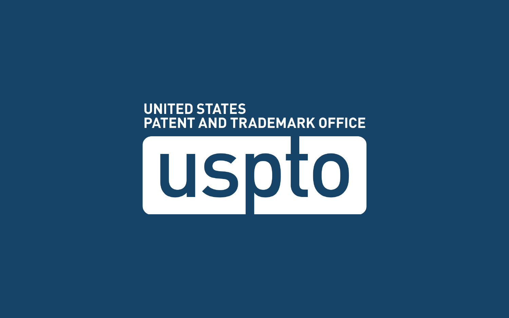#### **UNITED STATES PATENT AND TRADEMARK OFFICE**

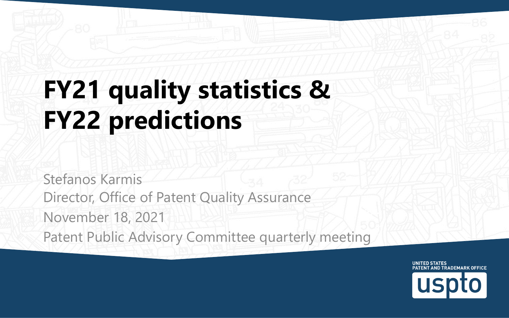#### **FY21 quality statistics & FY22 predictions**

Stefanos Karmis Director, Office of Patent Quality Assurance November 18, 2021 Patent Public Advisory Committee quarterly meeting

> **UNITED STATES** PATENT AND TRADEMARK OFFICE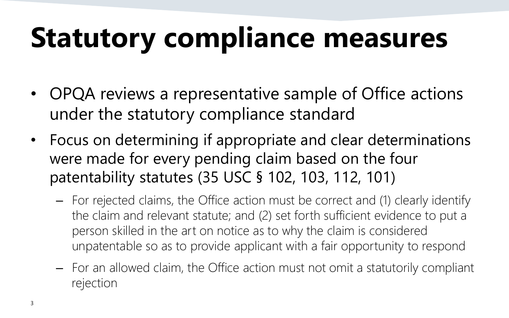## **Statutory compliance measures**

- OPQA reviews a representative sample of Office actions under the statutory compliance standard
- Focus on determining if appropriate and clear determinations were made for every pending claim based on the four patentability statutes (35 USC § 102, 103, 112, 101)
	- For rejected claims, the Office action must be correct and (1) clearly identify the claim and relevant statute; and (2) set forth sufficient evidence to put a person skilled in the art on notice as to why the claim is considered unpatentable so as to provide applicant with a fair opportunity to respond
	- For an allowed claim, the Office action must not omit a statutorily compliant rejection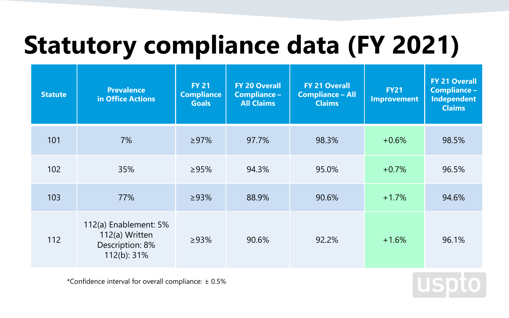#### **Statutory compliance data (FY 2021)**

| <b>Statute</b> | <b>Prevalence</b><br>in Office Actions                                    | <b>FY 21</b><br><b>Compliance</b><br><b>Goals</b> | <b>FY 20 Overall</b><br>Compliance -<br><b>All Claims</b> | <b>FY 21 Overall</b><br><b>Compliance - All</b><br><b>Claims</b> | <b>FY21</b><br><b>Improvement</b> | <b>FY 21 Overall</b><br>Compliance -<br><b>Independent</b><br><b>Claims</b> |
|----------------|---------------------------------------------------------------------------|---------------------------------------------------|-----------------------------------------------------------|------------------------------------------------------------------|-----------------------------------|-----------------------------------------------------------------------------|
| 101            | 7%                                                                        | >97%                                              | 97.7%                                                     | 98.3%                                                            | $+0.6%$                           | 98.5%                                                                       |
| 102            | 35%                                                                       | >95%                                              | 94.3%                                                     | 95.0%                                                            | $+0.7%$                           | 96.5%                                                                       |
| 103            | 77%                                                                       | >93%                                              | 88.9%                                                     | 90.6%                                                            | $+1.7%$                           | 94.6%                                                                       |
| 112            | 112(a) Enablement: 5%<br>112(a) Written<br>Description: 8%<br>112(b): 31% | >93%                                              | 90.6%                                                     | 92.2%                                                            | $+1.6%$                           | 96.1%                                                                       |

\*Confidence interval for overall compliance: ± 0.5%

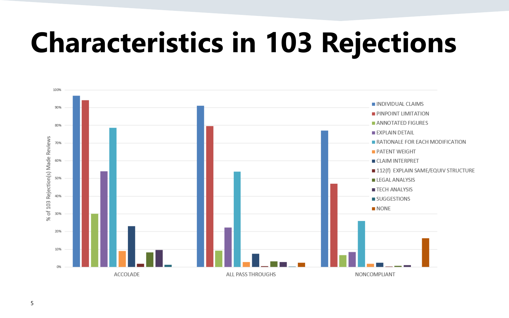#### **Characteristics in 103 Rejections**

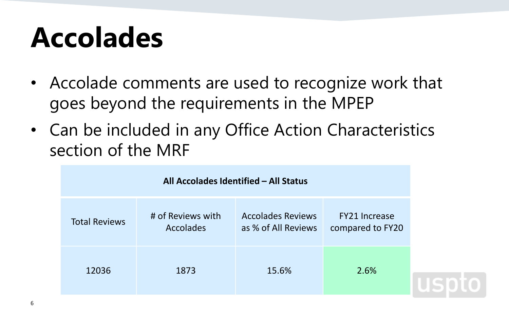### **Accolades**

- Accolade comments are used to recognize work that goes beyond the requirements in the MPEP
- Can be included in any Office Action Characteristics section of the MRF

| All Accolades Identified - All Status |                                       |                                                 |                                          |  |  |  |
|---------------------------------------|---------------------------------------|-------------------------------------------------|------------------------------------------|--|--|--|
| <b>Total Reviews</b>                  | # of Reviews with<br><b>Accolades</b> | <b>Accolades Reviews</b><br>as % of All Reviews | <b>FY21 Increase</b><br>compared to FY20 |  |  |  |
| 12036                                 | 1873                                  | 15.6%                                           | 2.6%                                     |  |  |  |
|                                       |                                       |                                                 |                                          |  |  |  |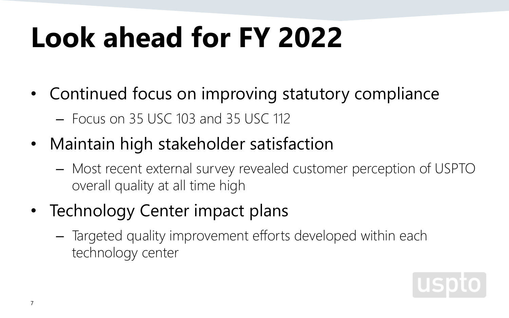# **Look ahead for FY 2022**

- Continued focus on improving statutory compliance – Focus on 35 USC 103 and 35 USC 112
- Maintain high stakeholder satisfaction
	- Most recent external survey revealed customer perception of USPTO overall quality at all time high
- Technology Center impact plans
	- Targeted quality improvement efforts developed within each technology center